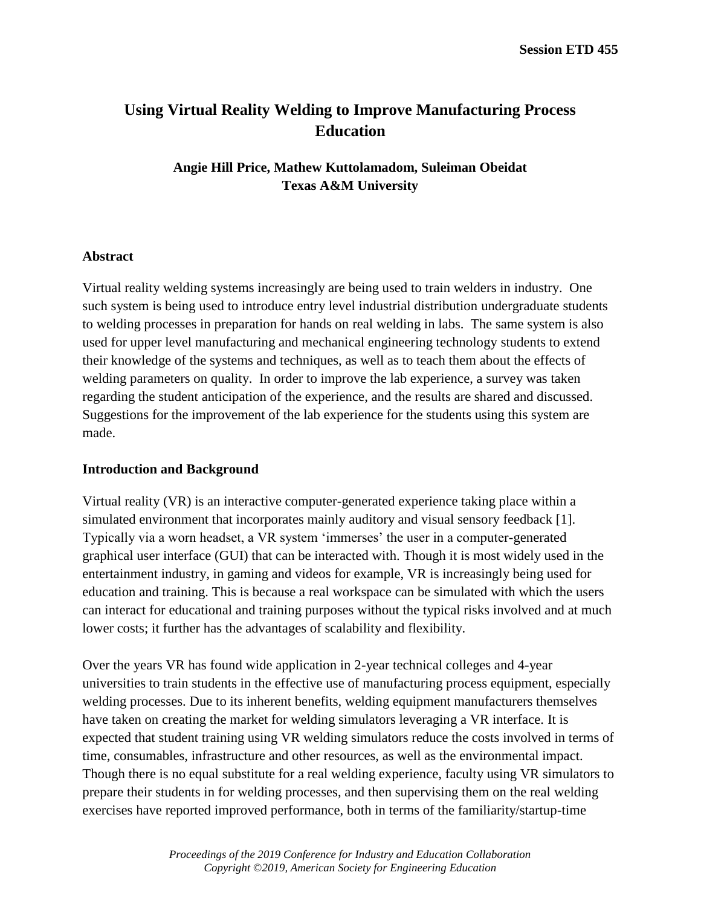# **Using Virtual Reality Welding to Improve Manufacturing Process Education**

# **Angie Hill Price, Mathew Kuttolamadom, Suleiman Obeidat Texas A&M University**

#### **Abstract**

Virtual reality welding systems increasingly are being used to train welders in industry. One such system is being used to introduce entry level industrial distribution undergraduate students to welding processes in preparation for hands on real welding in labs. The same system is also used for upper level manufacturing and mechanical engineering technology students to extend their knowledge of the systems and techniques, as well as to teach them about the effects of welding parameters on quality. In order to improve the lab experience, a survey was taken regarding the student anticipation of the experience, and the results are shared and discussed. Suggestions for the improvement of the lab experience for the students using this system are made.

#### **Introduction and Background**

Virtual reality (VR) is an interactive computer-generated experience taking place within a simulated environment that incorporates mainly auditory and visual sensory feedback [1]. Typically via a worn headset, a VR system 'immerses' the user in a computer-generated graphical user interface (GUI) that can be interacted with. Though it is most widely used in the entertainment industry, in gaming and videos for example, VR is increasingly being used for education and training. This is because a real workspace can be simulated with which the users can interact for educational and training purposes without the typical risks involved and at much lower costs; it further has the advantages of scalability and flexibility.

Over the years VR has found wide application in 2-year technical colleges and 4-year universities to train students in the effective use of manufacturing process equipment, especially welding processes. Due to its inherent benefits, welding equipment manufacturers themselves have taken on creating the market for welding simulators leveraging a VR interface. It is expected that student training using VR welding simulators reduce the costs involved in terms of time, consumables, infrastructure and other resources, as well as the environmental impact. Though there is no equal substitute for a real welding experience, faculty using VR simulators to prepare their students in for welding processes, and then supervising them on the real welding exercises have reported improved performance, both in terms of the familiarity/startup-time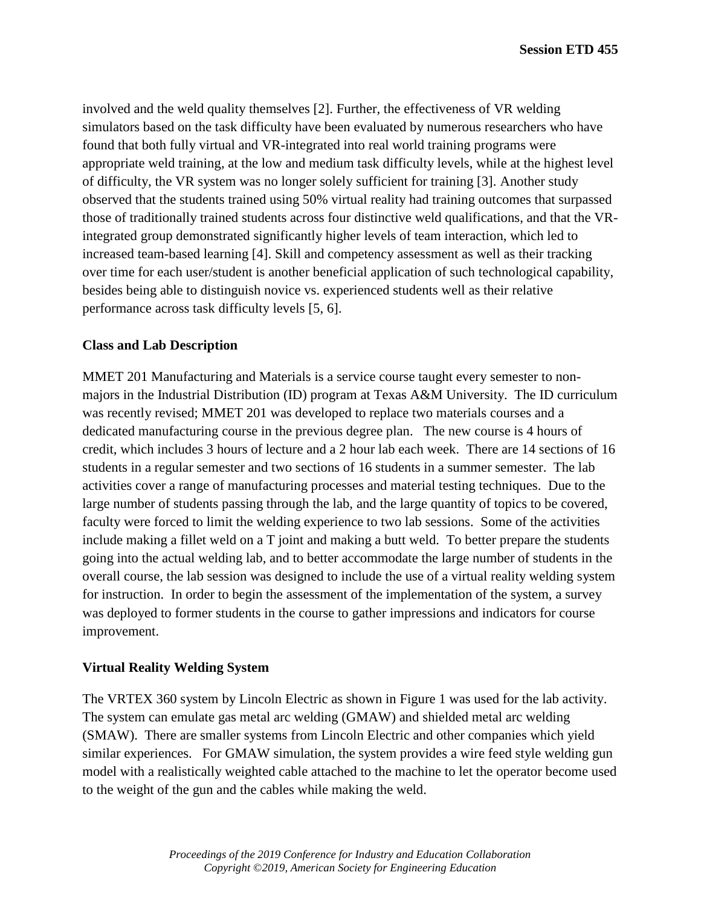involved and the weld quality themselves [2]. Further, the effectiveness of VR welding simulators based on the task difficulty have been evaluated by numerous researchers who have found that both fully virtual and VR-integrated into real world training programs were appropriate weld training, at the low and medium task difficulty levels, while at the highest level of difficulty, the VR system was no longer solely sufficient for training [3]. Another study observed that the students trained using 50% virtual reality had training outcomes that surpassed those of traditionally trained students across four distinctive weld qualifications, and that the VRintegrated group demonstrated significantly higher levels of team interaction, which led to increased team-based learning [4]. Skill and competency assessment as well as their tracking over time for each user/student is another beneficial application of such technological capability, besides being able to distinguish novice vs. experienced students well as their relative performance across task difficulty levels [5, 6].

## **Class and Lab Description**

MMET 201 Manufacturing and Materials is a service course taught every semester to nonmajors in the Industrial Distribution (ID) program at Texas A&M University. The ID curriculum was recently revised; MMET 201 was developed to replace two materials courses and a dedicated manufacturing course in the previous degree plan. The new course is 4 hours of credit, which includes 3 hours of lecture and a 2 hour lab each week. There are 14 sections of 16 students in a regular semester and two sections of 16 students in a summer semester. The lab activities cover a range of manufacturing processes and material testing techniques. Due to the large number of students passing through the lab, and the large quantity of topics to be covered, faculty were forced to limit the welding experience to two lab sessions. Some of the activities include making a fillet weld on a T joint and making a butt weld. To better prepare the students going into the actual welding lab, and to better accommodate the large number of students in the overall course, the lab session was designed to include the use of a virtual reality welding system for instruction. In order to begin the assessment of the implementation of the system, a survey was deployed to former students in the course to gather impressions and indicators for course improvement.

#### **Virtual Reality Welding System**

The VRTEX 360 system by Lincoln Electric as shown in Figure 1 was used for the lab activity. The system can emulate gas metal arc welding (GMAW) and shielded metal arc welding (SMAW). There are smaller systems from Lincoln Electric and other companies which yield similar experiences. For GMAW simulation, the system provides a wire feed style welding gun model with a realistically weighted cable attached to the machine to let the operator become used to the weight of the gun and the cables while making the weld.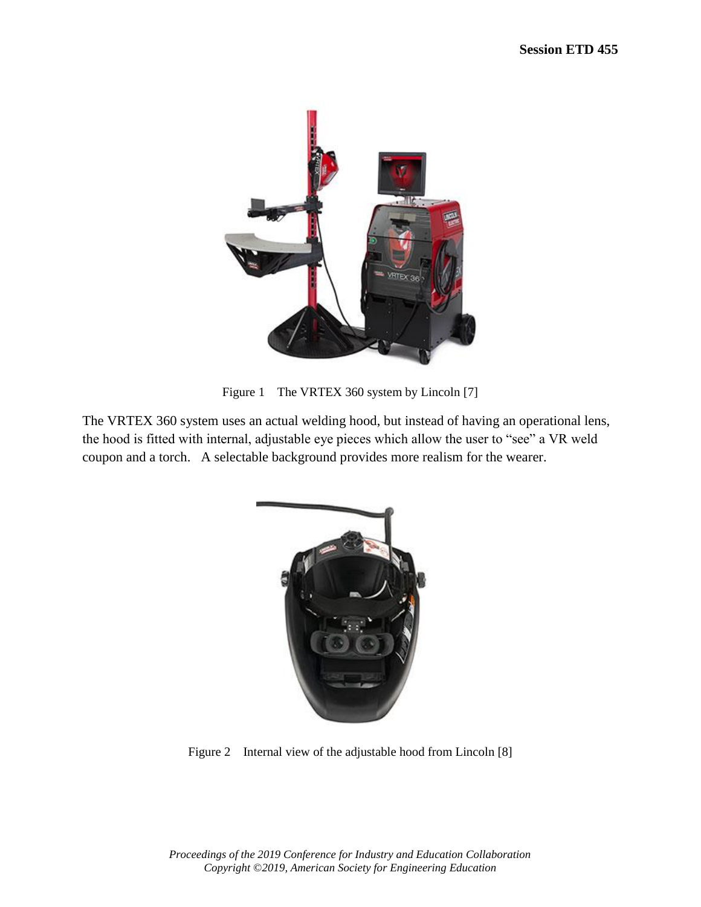

Figure 1 The VRTEX 360 system by Lincoln [7]

The VRTEX 360 system uses an actual welding hood, but instead of having an operational lens, the hood is fitted with internal, adjustable eye pieces which allow the user to "see" a VR weld coupon and a torch. A selectable background provides more realism for the wearer.



Figure 2 Internal view of the adjustable hood from Lincoln [8]

*Proceedings of the 2019 Conference for Industry and Education Collaboration Copyright* ©*2019, American Society for Engineering Education*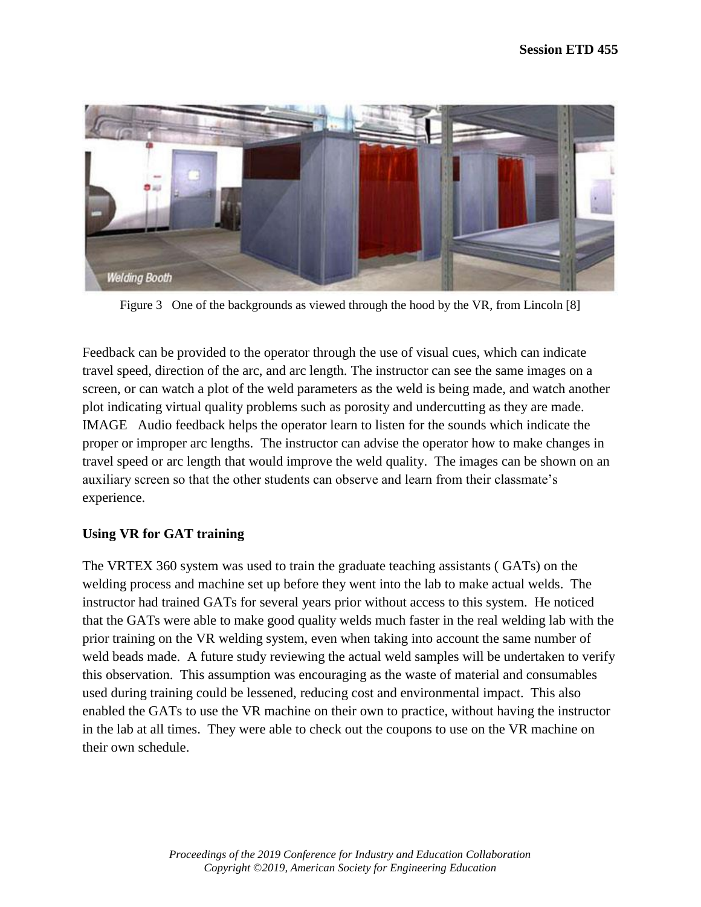

Figure 3 One of the backgrounds as viewed through the hood by the VR, from Lincoln [8]

Feedback can be provided to the operator through the use of visual cues, which can indicate travel speed, direction of the arc, and arc length. The instructor can see the same images on a screen, or can watch a plot of the weld parameters as the weld is being made, and watch another plot indicating virtual quality problems such as porosity and undercutting as they are made. IMAGE Audio feedback helps the operator learn to listen for the sounds which indicate the proper or improper arc lengths. The instructor can advise the operator how to make changes in travel speed or arc length that would improve the weld quality. The images can be shown on an auxiliary screen so that the other students can observe and learn from their classmate's experience.

# **Using VR for GAT training**

The VRTEX 360 system was used to train the graduate teaching assistants ( GATs) on the welding process and machine set up before they went into the lab to make actual welds. The instructor had trained GATs for several years prior without access to this system. He noticed that the GATs were able to make good quality welds much faster in the real welding lab with the prior training on the VR welding system, even when taking into account the same number of weld beads made. A future study reviewing the actual weld samples will be undertaken to verify this observation. This assumption was encouraging as the waste of material and consumables used during training could be lessened, reducing cost and environmental impact. This also enabled the GATs to use the VR machine on their own to practice, without having the instructor in the lab at all times. They were able to check out the coupons to use on the VR machine on their own schedule.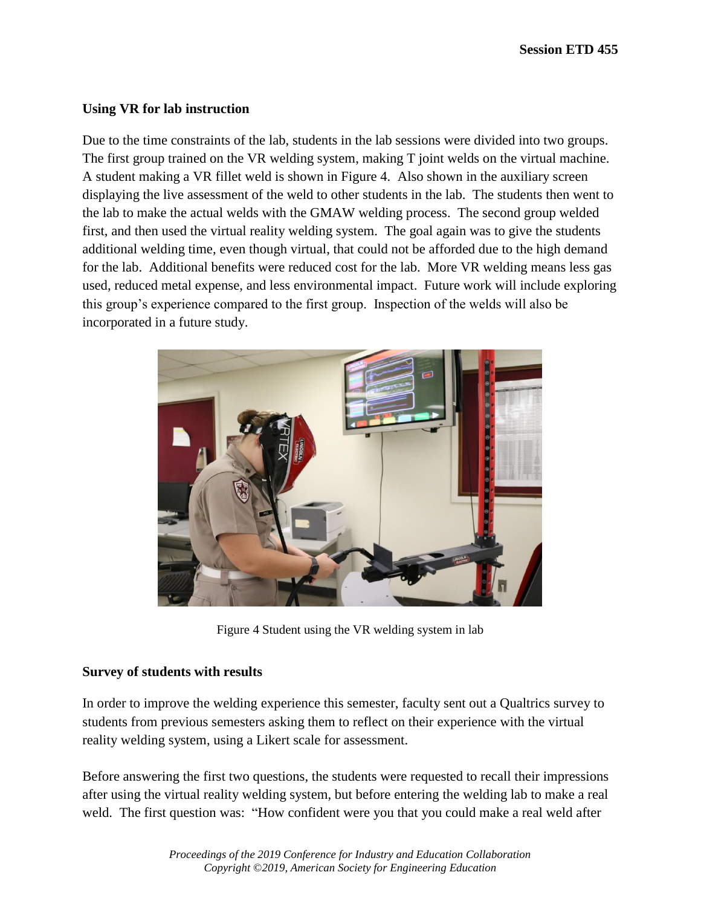## **Using VR for lab instruction**

Due to the time constraints of the lab, students in the lab sessions were divided into two groups. The first group trained on the VR welding system, making T joint welds on the virtual machine. A student making a VR fillet weld is shown in Figure 4. Also shown in the auxiliary screen displaying the live assessment of the weld to other students in the lab. The students then went to the lab to make the actual welds with the GMAW welding process. The second group welded first, and then used the virtual reality welding system. The goal again was to give the students additional welding time, even though virtual, that could not be afforded due to the high demand for the lab. Additional benefits were reduced cost for the lab. More VR welding means less gas used, reduced metal expense, and less environmental impact. Future work will include exploring this group's experience compared to the first group. Inspection of the welds will also be incorporated in a future study.



Figure 4 Student using the VR welding system in lab

# **Survey of students with results**

In order to improve the welding experience this semester, faculty sent out a Qualtrics survey to students from previous semesters asking them to reflect on their experience with the virtual reality welding system, using a Likert scale for assessment.

Before answering the first two questions, the students were requested to recall their impressions after using the virtual reality welding system, but before entering the welding lab to make a real weld. The first question was: "How confident were you that you could make a real weld after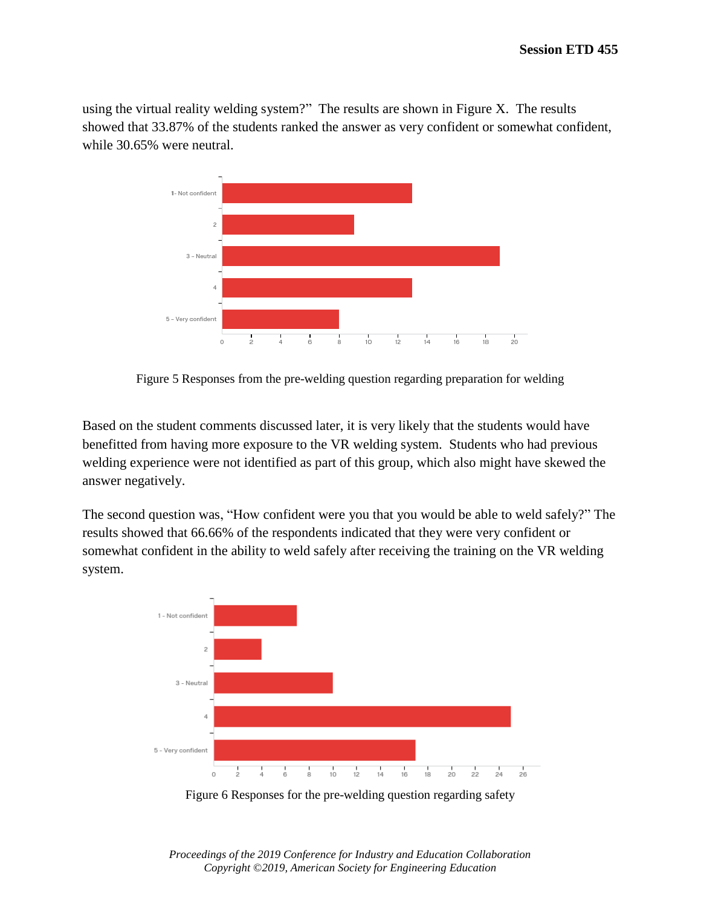using the virtual reality welding system?" The results are shown in Figure X. The results showed that 33.87% of the students ranked the answer as very confident or somewhat confident, while 30.65% were neutral.



Figure 5 Responses from the pre-welding question regarding preparation for welding

Based on the student comments discussed later, it is very likely that the students would have benefitted from having more exposure to the VR welding system. Students who had previous welding experience were not identified as part of this group, which also might have skewed the answer negatively.

The second question was, "How confident were you that you would be able to weld safely?" The results showed that 66.66% of the respondents indicated that they were very confident or somewhat confident in the ability to weld safely after receiving the training on the VR welding system.



Figure 6 Responses for the pre-welding question regarding safety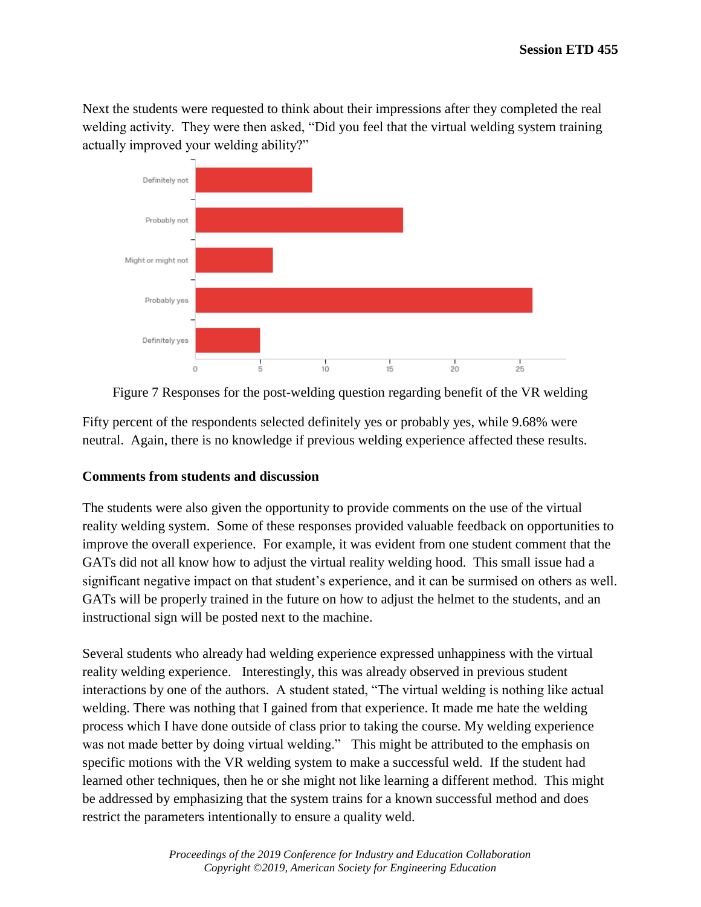Next the students were requested to think about their impressions after they completed the real welding activity. They were then asked, "Did you feel that the virtual welding system training actually improved your welding ability?"



Figure 7 Responses for the post-welding question regarding benefit of the VR welding

Fifty percent of the respondents selected definitely yes or probably yes, while 9.68% were neutral. Again, there is no knowledge if previous welding experience affected these results.

# **Comments from students and discussion**

The students were also given the opportunity to provide comments on the use of the virtual reality welding system. Some of these responses provided valuable feedback on opportunities to improve the overall experience. For example, it was evident from one student comment that the GATs did not all know how to adjust the virtual reality welding hood. This small issue had a significant negative impact on that student's experience, and it can be surmised on others as well. GATs will be properly trained in the future on how to adjust the helmet to the students, and an instructional sign will be posted next to the machine.

Several students who already had welding experience expressed unhappiness with the virtual reality welding experience. Interestingly, this was already observed in previous student interactions by one of the authors. A student stated, "The virtual welding is nothing like actual welding. There was nothing that I gained from that experience. It made me hate the welding process which I have done outside of class prior to taking the course. My welding experience was not made better by doing virtual welding." This might be attributed to the emphasis on specific motions with the VR welding system to make a successful weld. If the student had learned other techniques, then he or she might not like learning a different method. This might be addressed by emphasizing that the system trains for a known successful method and does restrict the parameters intentionally to ensure a quality weld.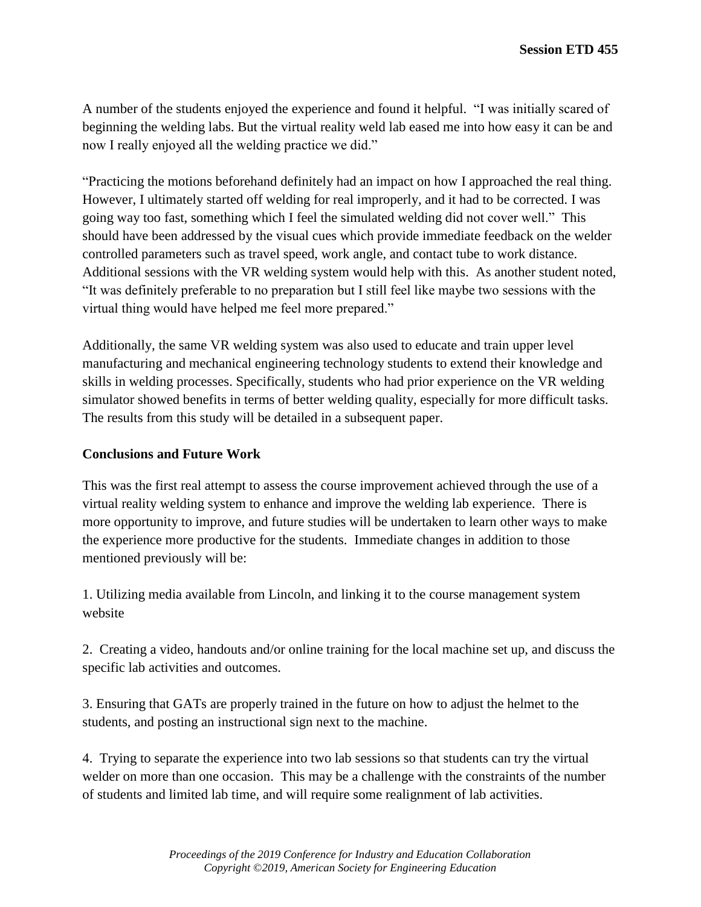A number of the students enjoyed the experience and found it helpful. "I was initially scared of beginning the welding labs. But the virtual reality weld lab eased me into how easy it can be and now I really enjoyed all the welding practice we did."

"Practicing the motions beforehand definitely had an impact on how I approached the real thing. However, I ultimately started off welding for real improperly, and it had to be corrected. I was going way too fast, something which I feel the simulated welding did not cover well." This should have been addressed by the visual cues which provide immediate feedback on the welder controlled parameters such as travel speed, work angle, and contact tube to work distance. Additional sessions with the VR welding system would help with this. As another student noted, "It was definitely preferable to no preparation but I still feel like maybe two sessions with the virtual thing would have helped me feel more prepared."

Additionally, the same VR welding system was also used to educate and train upper level manufacturing and mechanical engineering technology students to extend their knowledge and skills in welding processes. Specifically, students who had prior experience on the VR welding simulator showed benefits in terms of better welding quality, especially for more difficult tasks. The results from this study will be detailed in a subsequent paper.

#### **Conclusions and Future Work**

This was the first real attempt to assess the course improvement achieved through the use of a virtual reality welding system to enhance and improve the welding lab experience. There is more opportunity to improve, and future studies will be undertaken to learn other ways to make the experience more productive for the students. Immediate changes in addition to those mentioned previously will be:

1. Utilizing media available from Lincoln, and linking it to the course management system website

2. Creating a video, handouts and/or online training for the local machine set up, and discuss the specific lab activities and outcomes.

3. Ensuring that GATs are properly trained in the future on how to adjust the helmet to the students, and posting an instructional sign next to the machine.

4. Trying to separate the experience into two lab sessions so that students can try the virtual welder on more than one occasion. This may be a challenge with the constraints of the number of students and limited lab time, and will require some realignment of lab activities.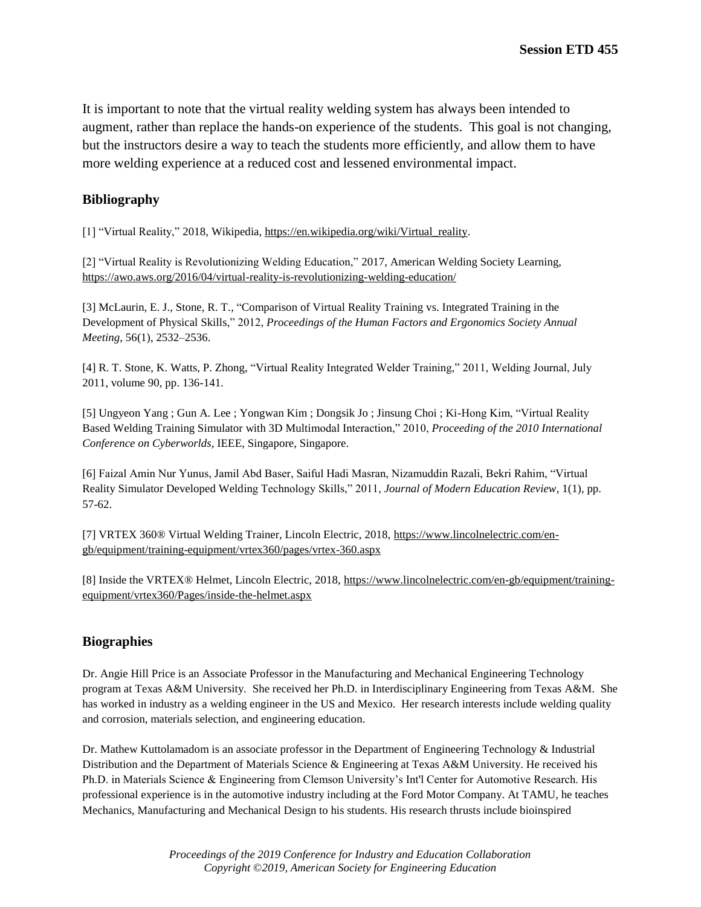It is important to note that the virtual reality welding system has always been intended to augment, rather than replace the hands-on experience of the students. This goal is not changing, but the instructors desire a way to teach the students more efficiently, and allow them to have more welding experience at a reduced cost and lessened environmental impact.

#### **Bibliography**

[1] "Virtual Reality," 2018, Wikipedia, [https://en.wikipedia.org/wiki/Virtual\\_reality.](https://en.wikipedia.org/wiki/Virtual_reality)

[2] "Virtual Reality is Revolutionizing Welding Education," 2017, American Welding Society Learning, <https://awo.aws.org/2016/04/virtual-reality-is-revolutionizing-welding-education/>

[3] McLaurin, E. J., Stone, R. T., "Comparison of Virtual Reality Training vs. Integrated Training in the Development of Physical Skills," 2012, *Proceedings of the Human Factors and Ergonomics Society Annual Meeting*, 56(1), 2532–2536.

[4] R. T. Stone, K. Watts, P. Zhong, "Virtual Reality Integrated Welder Training," 2011, Welding Journal, July 2011, volume 90, pp. 136-141.

[5] Ungyeon Yang ; Gun A. Lee ; Yongwan Kim ; Dongsik Jo ; Jinsung Choi ; Ki-Hong Kim, "Virtual Reality Based Welding Training Simulator with 3D Multimodal Interaction," 2010, *Proceeding of the 2010 International Conference on Cyberworlds*, IEEE, Singapore, Singapore.

[6] Faizal Amin Nur Yunus, Jamil Abd Baser, Saiful Hadi Masran, Nizamuddin Razali, Bekri Rahim, "Virtual Reality Simulator Developed Welding Technology Skills," 2011, *Journal of Modern Education Review*, 1(1), pp. 57-62.

[7] VRTEX 360® Virtual Welding Trainer, Lincoln Electric, 2018, [https://www.lincolnelectric.com/en](https://www.lincolnelectric.com/en-gb/equipment/training-equipment/vrtex360/pages/vrtex-360.aspx)[gb/equipment/training-equipment/vrtex360/pages/vrtex-360.aspx](https://www.lincolnelectric.com/en-gb/equipment/training-equipment/vrtex360/pages/vrtex-360.aspx)

[8] Inside the VRTEX® Helmet, Lincoln Electric, 2018, [https://www.lincolnelectric.com/en-gb/equipment/training](https://www.lincolnelectric.com/en-gb/equipment/training-equipment/vrtex360/Pages/inside-the-helmet.aspx)[equipment/vrtex360/Pages/inside-the-helmet.aspx](https://www.lincolnelectric.com/en-gb/equipment/training-equipment/vrtex360/Pages/inside-the-helmet.aspx)

#### **Biographies**

Dr. Angie Hill Price is an Associate Professor in the Manufacturing and Mechanical Engineering Technology program at Texas A&M University. She received her Ph.D. in Interdisciplinary Engineering from Texas A&M. She has worked in industry as a welding engineer in the US and Mexico. Her research interests include welding quality and corrosion, materials selection, and engineering education.

Dr. Mathew Kuttolamadom is an associate professor in the Department of Engineering Technology & Industrial Distribution and the Department of Materials Science & Engineering at Texas A&M University. He received his Ph.D. in Materials Science & Engineering from Clemson University's Int'l Center for Automotive Research. His professional experience is in the automotive industry including at the Ford Motor Company. At TAMU, he teaches Mechanics, Manufacturing and Mechanical Design to his students. His research thrusts include bioinspired

> *Proceedings of the 2019 Conference for Industry and Education Collaboration Copyright* ©*2019, American Society for Engineering Education*